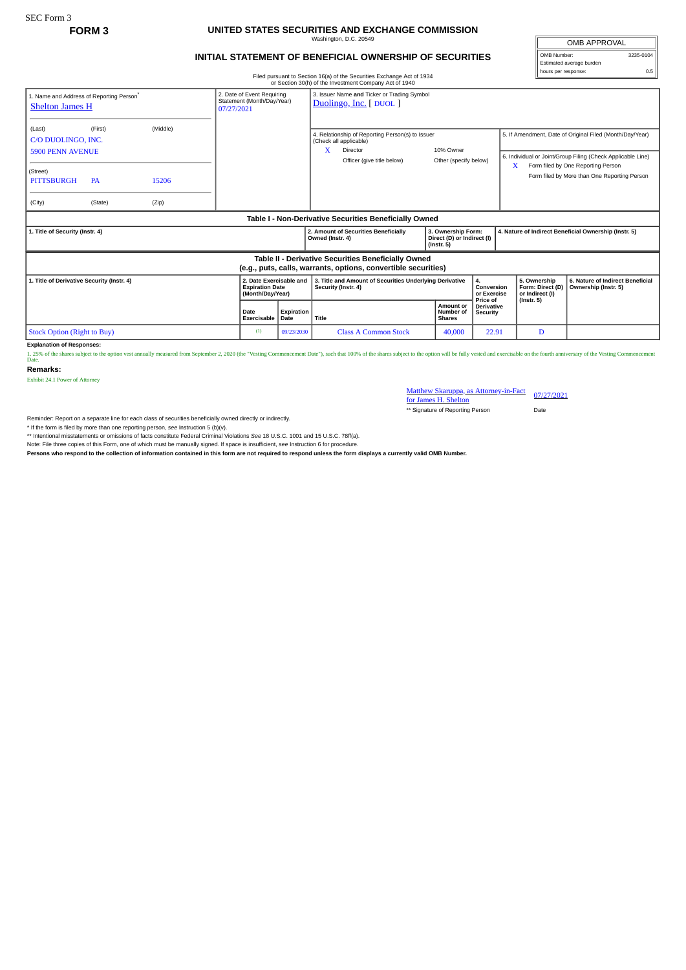## **FORM 3 UNITED STATES SECURITIES AND EXCHANGE COMMISSION** Washington, D.C. 20549

## **INITIAL STATEMENT OF BENEFICIAL OWNERSHIP OF SECURITIES**

Filed pursuant to Section 16(a) of the Securities Exchange Act of 1934

OMB APPROVAL OMB Number: 3235-0104 Estimated average burden hours per response: 0.5

| 1. Name and Address of Reporting Person®<br><b>Shelton James H</b>  |                      |                | 2. Date of Event Requiring<br>Statement (Month/Day/Year)<br>07/27/2021 |                    | 3. Issuer Name and Ticker or Trading Symbol<br>Duolingo, Inc. [DUOL]                                                      |                                                                      |                                           |                                                     |                                                                                                                                                                                                               |
|---------------------------------------------------------------------|----------------------|----------------|------------------------------------------------------------------------|--------------------|---------------------------------------------------------------------------------------------------------------------------|----------------------------------------------------------------------|-------------------------------------------|-----------------------------------------------------|---------------------------------------------------------------------------------------------------------------------------------------------------------------------------------------------------------------|
| (Last)<br>C/O DUOLINGO, INC.<br><b>5900 PENN AVENUE</b><br>(Street) | (First)              | (Middle)       |                                                                        |                    | 4. Relationship of Reporting Person(s) to Issuer<br>(Check all applicable)<br>X<br>Director<br>Officer (give title below) | 10% Owner<br>Other (specify below)                                   |                                           | X                                                   | 5. If Amendment, Date of Original Filed (Month/Day/Year)<br>6. Individual or Joint/Group Filing (Check Applicable Line)<br>Form filed by One Reporting Person<br>Form filed by More than One Reporting Person |
| <b>PITTSBURGH</b><br>(City)                                         | <b>PA</b><br>(State) | 15206<br>(Zip) |                                                                        |                    |                                                                                                                           |                                                                      |                                           |                                                     |                                                                                                                                                                                                               |
| Table I - Non-Derivative Securities Beneficially Owned              |                      |                |                                                                        |                    |                                                                                                                           |                                                                      |                                           |                                                     |                                                                                                                                                                                                               |
|                                                                     |                      |                |                                                                        |                    |                                                                                                                           |                                                                      |                                           |                                                     |                                                                                                                                                                                                               |
| 1. Title of Security (Instr. 4)                                     |                      |                |                                                                        |                    | 2. Amount of Securities Beneficially<br>Owned (Instr. 4)                                                                  | 3. Ownership Form:<br>Direct (D) or Indirect (I)<br>$($ Instr. 5 $)$ |                                           |                                                     | 4. Nature of Indirect Beneficial Ownership (Instr. 5)                                                                                                                                                         |
|                                                                     |                      |                |                                                                        |                    | Table II - Derivative Securities Beneficially Owned<br>(e.g., puts, calls, warrants, options, convertible securities)     |                                                                      |                                           |                                                     |                                                                                                                                                                                                               |
| 1. Title of Derivative Security (Instr. 4)                          |                      |                | 2. Date Exercisable and<br><b>Expiration Date</b><br>(Month/Day/Year)  |                    | 3. Title and Amount of Securities Underlying Derivative<br>Security (Instr. 4)                                            |                                                                      | 4.<br>Conversion<br>or Exercise           | 5. Ownership<br>Form: Direct (D)<br>or Indirect (I) | 6. Nature of Indirect Beneficial<br>Ownership (Instr. 5)                                                                                                                                                      |
|                                                                     |                      |                | <b>Date</b><br>Exercisable                                             | Expiration<br>Date | Title                                                                                                                     | Amount or<br>Number of<br><b>Shares</b>                              | Price of<br><b>Derivative</b><br>Security | $($ Instr. 5 $)$                                    |                                                                                                                                                                                                               |

Explanation of Responses:<br>1. 25% of the shares subject to the option vest annually measured from September 2, 2020 (the "Vesting Commencement Date"), such that 100% of the shares subject to the option will be fully vested

**Remarks:**

Exhibit 24.1 Power of Attorney

Matthew Skaruppa, as Attorney-in-Fact 07/27/2021<br>for James H. Shelton \*\* Signature of Reporting Person Date

Reminder: Report on a separate line for each class of securities beneficially owned directly or indirectly.

\* If the form is filed by more than one reporting person, *see* Instruction 5 (b)(v).

\*\* Intentional misstatements or omissions of facts constitute Federal Criminal Violations *See* 18 U.S.C. 1001 and 15 U.S.C. 78ff(a).

Note: File three copies of this Form, one of which must be manually signed. If space is insufficient, *see* Instruction 6 for procedure.

**Persons who respond to the collection of information contained in this form are not required to respond unless the form displays a currently valid OMB Number.**